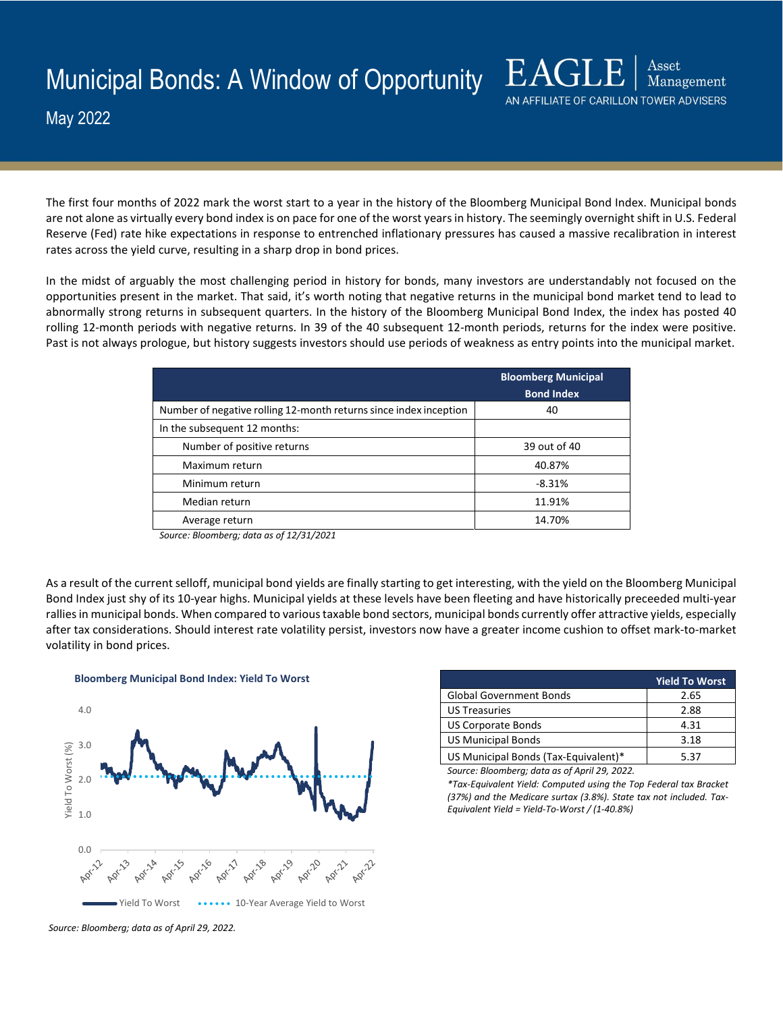May 2022

The first four months of 2022 mark the worst start to a year in the history of the Bloomberg Municipal Bond Index. Municipal bonds are not alone as virtually every bond index is on pace for one of the worst years in history. The seemingly overnight shift in U.S. Federal Reserve (Fed) rate hike expectations in response to entrenched inflationary pressures has caused a massive recalibration in interest rates across the yield curve, resulting in a sharp drop in bond prices.

In the midst of arguably the most challenging period in history for bonds, many investors are understandably not focused on the opportunities present in the market. That said, it's worth noting that negative returns in the municipal bond market tend to lead to abnormally strong returns in subsequent quarters. In the history of the Bloomberg Municipal Bond Index, the index has posted 40 rolling 12-month periods with negative returns. In 39 of the 40 subsequent 12-month periods, returns for the index were positive. Past is not always prologue, but history suggests investors should use periods of weakness as entry points into the municipal market.

|                                                                   | <b>Bloomberg Municipal</b><br><b>Bond Index</b> |
|-------------------------------------------------------------------|-------------------------------------------------|
| Number of negative rolling 12-month returns since index inception | 40                                              |
| In the subsequent 12 months:                                      |                                                 |
| Number of positive returns                                        | 39 out of 40                                    |
| Maximum return                                                    | 40.87%                                          |
| Minimum return                                                    | $-8.31%$                                        |
| Median return                                                     | 11.91%                                          |
| Average return                                                    | 14.70%                                          |

*Source: Bloomberg; data as of 12/31/2021*

As a result of the current selloff, municipal bond yields are finally starting to get interesting, with the yield on the Bloomberg Municipal Bond Index just shy of its 10-year highs. Municipal yields at these levels have been fleeting and have historically preceeded multi-year rallies in municipal bonds. When compared to various taxable bond sectors, municipal bonds currently offer attractive yields, especially after tax considerations. Should interest rate volatility persist, investors now have a greater income cushion to offset mark-to-market volatility in bond prices.

**Bloomberg Municipal Bond Index: Yield To Worst**



|                                      | <b>Yield To Worst</b> |
|--------------------------------------|-----------------------|
| <b>Global Government Bonds</b>       | 2.65                  |
| <b>US Treasuries</b>                 | 2.88                  |
| <b>US Corporate Bonds</b>            | 4.31                  |
| <b>US Municipal Bonds</b>            | 3.18                  |
| US Municipal Bonds (Tax-Equivalent)* | 537                   |

 $\operatorname{A}\!\operatorname{sset}$ 

AN AFFILIATE OF CARILLON TOWER ADVISERS

Management

*Source: Bloomberg; data as of April 29, 2022.*

*\*Tax-Equivalent Yield: Computed using the Top Federal tax Bracket (37%) and the Medicare surtax (3.8%). State tax not included. Tax-Equivalent Yield = Yield-To-Worst / (1-40.8%)*

*Source: Bloomberg; data as of April 29, 2022.*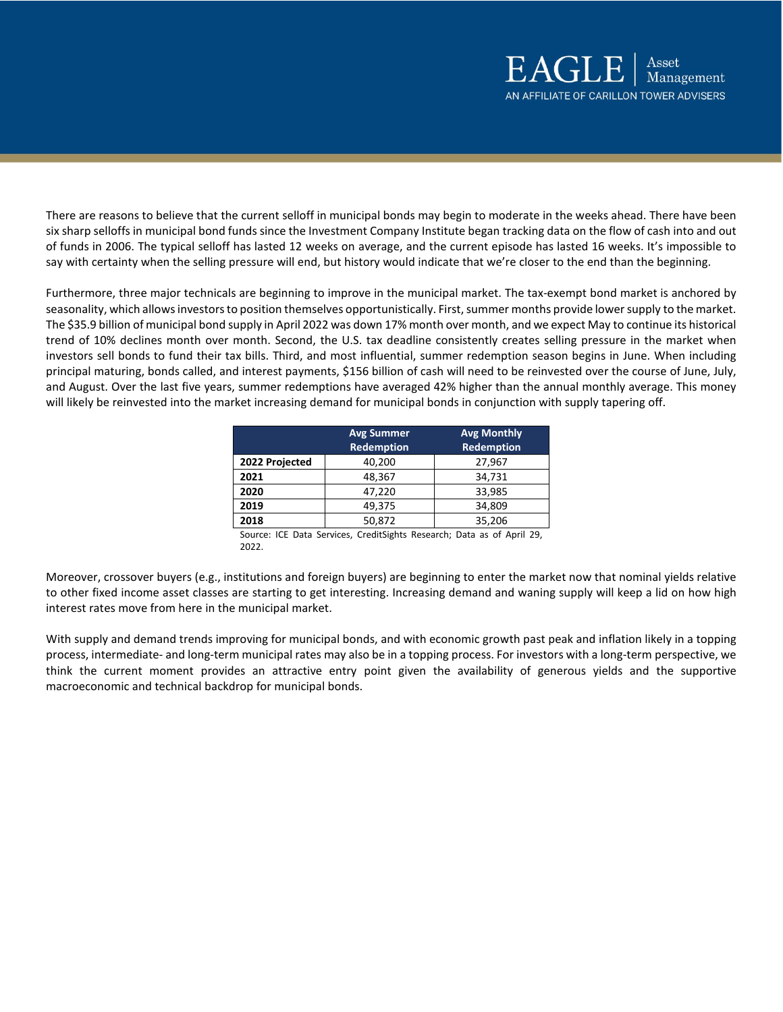There are reasons to believe that the current selloff in municipal bonds may begin to moderate in the weeks ahead. There have been six sharp selloffs in municipal bond funds since the Investment Company Institute began tracking data on the flow of cash into and out of funds in 2006. The typical selloff has lasted 12 weeks on average, and the current episode has lasted 16 weeks. It's impossible to say with certainty when the selling pressure will end, but history would indicate that we're closer to the end than the beginning.

Furthermore, three major technicals are beginning to improve in the municipal market. The tax-exempt bond market is anchored by seasonality, which allows investors to position themselves opportunistically. First, summer months provide lower supply to the market. The \$35.9 billion of municipal bond supply in April 2022 was down 17% month over month, and we expect May to continue its historical trend of 10% declines month over month. Second, the U.S. tax deadline consistently creates selling pressure in the market when investors sell bonds to fund their tax bills. Third, and most influential, summer redemption season begins in June. When including principal maturing, bonds called, and interest payments, \$156 billion of cash will need to be reinvested over the course of June, July, and August. Over the last five years, summer redemptions have averaged 42% higher than the annual monthly average. This money will likely be reinvested into the market increasing demand for municipal bonds in conjunction with supply tapering off.

|                    | <b>Avg Summer</b><br><b>Redemption</b> | <b>Avg Monthly</b><br><b>Redemption</b> |  |
|--------------------|----------------------------------------|-----------------------------------------|--|
| 2022 Projected     | 40,200                                 | 27,967                                  |  |
| 2021               | 48,367                                 | 34,731                                  |  |
| 2020               | 47,220                                 | 33,985                                  |  |
| 2019               | 49,375                                 | 34,809                                  |  |
| 2018               | 50,872                                 | 35,206                                  |  |
| $\cdots$<br>$\sim$ |                                        |                                         |  |

Source: ICE Data Services, CreditSights Research; Data as of April 29, 2022.

Moreover, crossover buyers (e.g., institutions and foreign buyers) are beginning to enter the market now that nominal yields relative to other fixed income asset classes are starting to get interesting. Increasing demand and waning supply will keep a lid on how high interest rates move from here in the municipal market.

With supply and demand trends improving for municipal bonds, and with economic growth past peak and inflation likely in a topping process, intermediate- and long-term municipal rates may also be in a topping process. For investors with a long-term perspective, we think the current moment provides an attractive entry point given the availability of generous yields and the supportive macroeconomic and technical backdrop for municipal bonds.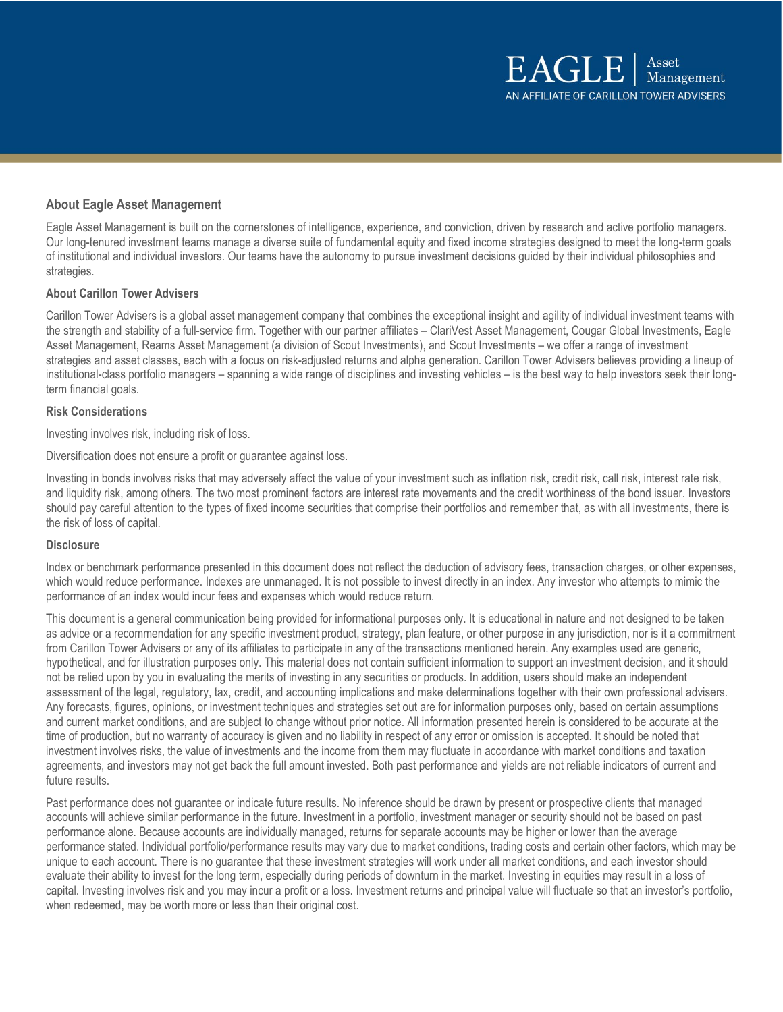# **About Eagle Asset Management**

Eagle Asset Management is built on the cornerstones of intelligence, experience, and conviction, driven by research and active portfolio managers. Our long-tenured investment teams manage a diverse suite of fundamental equity and fixed income strategies designed to meet the long-term goals of institutional and individual investors. Our teams have the autonomy to pursue investment decisions guided by their individual philosophies and strategies.

## **About Carillon Tower Advisers**

Carillon Tower Advisers is a global asset management company that combines the exceptional insight and agility of individual investment teams with the strength and stability of a full-service firm. Together with our partner affiliates – ClariVest Asset Management, Cougar Global Investments, Eagle Asset Management, Reams Asset Management (a division of Scout Investments), and Scout Investments – we offer a range of investment strategies and asset classes, each with a focus on risk-adjusted returns and alpha generation. Carillon Tower Advisers believes providing a lineup of institutional-class portfolio managers – spanning a wide range of disciplines and investing vehicles – is the best way to help investors seek their longterm financial goals.

## **Risk Considerations**

Investing involves risk, including risk of loss.

Diversification does not ensure a profit or guarantee against loss.

Investing in bonds involves risks that may adversely affect the value of your investment such as inflation risk, credit risk, call risk, interest rate risk, and liquidity risk, among others. The two most prominent factors are interest rate movements and the credit worthiness of the bond issuer. Investors should pay careful attention to the types of fixed income securities that comprise their portfolios and remember that, as with all investments, there is the risk of loss of capital.

## **Disclosure**

Index or benchmark performance presented in this document does not reflect the deduction of advisory fees, transaction charges, or other expenses, which would reduce performance. Indexes are unmanaged. It is not possible to invest directly in an index. Any investor who attempts to mimic the performance of an index would incur fees and expenses which would reduce return.

This document is a general communication being provided for informational purposes only. It is educational in nature and not designed to be taken as advice or a recommendation for any specific investment product, strategy, plan feature, or other purpose in any jurisdiction, nor is it a commitment from Carillon Tower Advisers or any of its affiliates to participate in any of the transactions mentioned herein. Any examples used are generic, hypothetical, and for illustration purposes only. This material does not contain sufficient information to support an investment decision, and it should not be relied upon by you in evaluating the merits of investing in any securities or products. In addition, users should make an independent assessment of the legal, regulatory, tax, credit, and accounting implications and make determinations together with their own professional advisers. Any forecasts, figures, opinions, or investment techniques and strategies set out are for information purposes only, based on certain assumptions and current market conditions, and are subject to change without prior notice. All information presented herein is considered to be accurate at the time of production, but no warranty of accuracy is given and no liability in respect of any error or omission is accepted. It should be noted that investment involves risks, the value of investments and the income from them may fluctuate in accordance with market conditions and taxation agreements, and investors may not get back the full amount invested. Both past performance and yields are not reliable indicators of current and future results.

Past performance does not guarantee or indicate future results. No inference should be drawn by present or prospective clients that managed accounts will achieve similar performance in the future. Investment in a portfolio, investment manager or security should not be based on past performance alone. Because accounts are individually managed, returns for separate accounts may be higher or lower than the average performance stated. Individual portfolio/performance results may vary due to market conditions, trading costs and certain other factors, which may be unique to each account. There is no guarantee that these investment strategies will work under all market conditions, and each investor should evaluate their ability to invest for the long term, especially during periods of downturn in the market. Investing in equities may result in a loss of capital. Investing involves risk and you may incur a profit or a loss. Investment returns and principal value will fluctuate so that an investor's portfolio, when redeemed, may be worth more or less than their original cost.